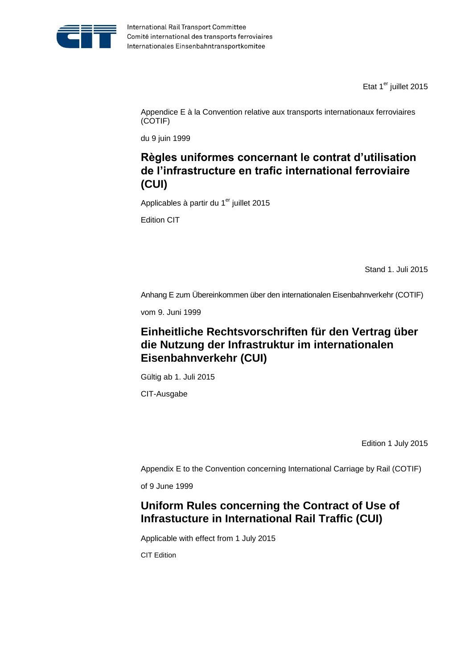

Etat 1<sup>er</sup> juillet 2015

Appendice E à la Convention relative aux transports internationaux ferroviaires (COTIF)

du 9 juin 1999

# **Règles uniformes concernant le contrat d'utilisation de l'infrastructure en trafic international ferroviaire (CUI)**

Applicables à partir du 1<sup>er</sup> juillet 2015

Edition CIT

Stand 1. Juli 2015

Anhang E zum Übereinkommen über den internationalen Eisenbahnverkehr (COTIF)

vom 9. Juni 1999

# **Einheitliche Rechtsvorschriften für den Vertrag über die Nutzung der Infrastruktur im internationalen Eisenbahnverkehr (CUI)**

Gültig ab 1. Juli 2015

CIT-Ausgabe

Edition 1 July 2015

Appendix E to the Convention concerning International Carriage by Rail (COTIF)

of 9 June 1999

# **Uniform Rules concerning the Contract of Use of Infrastucture in International Rail Traffic (CUI)**

Applicable with effect from 1 July 2015

CIT Edition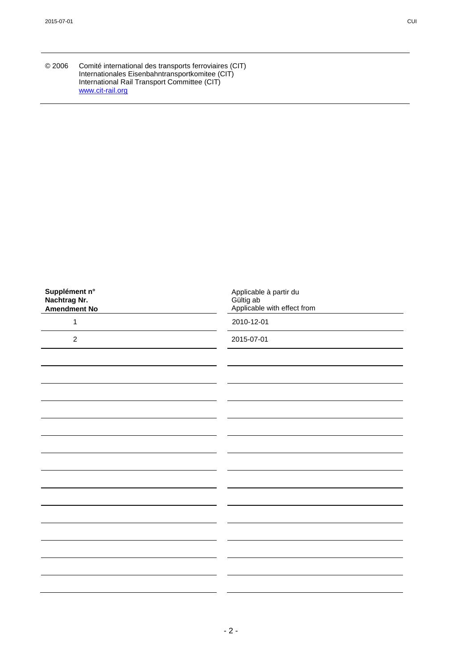| © 2006 | Comité international des transports ferroviaires (CIT) |
|--------|--------------------------------------------------------|
|        | Internationales Eisenbahntransportkomitee (CIT)        |
|        | International Rail Transport Committee (CIT)           |
|        | www.cit-rail.org                                       |

| Supplément n°<br>Nachtrag Nr.<br>Amendment No | Applicable à partir du<br>Gültig ab<br>Applicable with effect from |
|-----------------------------------------------|--------------------------------------------------------------------|
| $\mathbf{1}$                                  | 2010-12-01                                                         |
| $\sqrt{2}$                                    | 2015-07-01                                                         |
|                                               |                                                                    |
|                                               |                                                                    |
|                                               |                                                                    |
|                                               |                                                                    |
|                                               |                                                                    |
|                                               |                                                                    |
|                                               |                                                                    |
|                                               |                                                                    |
|                                               |                                                                    |
|                                               |                                                                    |
|                                               |                                                                    |
|                                               |                                                                    |
|                                               |                                                                    |
|                                               |                                                                    |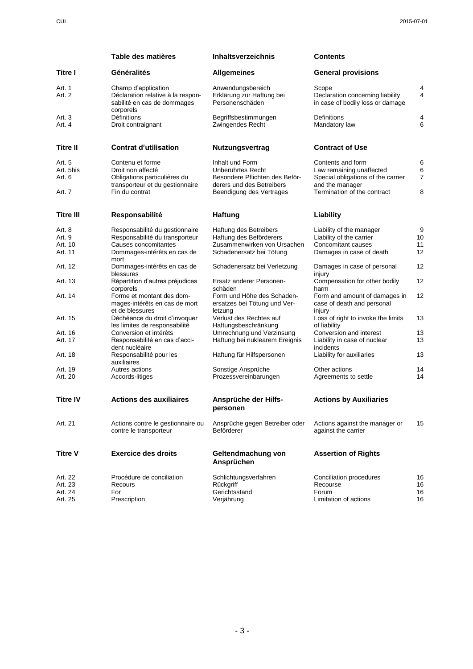|                  | Table des matières                                                                      | <b>Inhaltsverzeichnis</b>                                             | <b>Contents</b>                                                               |            |
|------------------|-----------------------------------------------------------------------------------------|-----------------------------------------------------------------------|-------------------------------------------------------------------------------|------------|
| Titre I          | Généralités                                                                             | <b>Allgemeines</b>                                                    | <b>General provisions</b>                                                     |            |
| Art. 1<br>Art. 2 | Champ d'application<br>Déclaration relative à la respon-<br>sabilité en cas de dommages | Anwendungsbereich<br>Erklärung zur Haftung bei<br>Personenschäden     | Scope<br>Declaration concerning liability<br>in case of bodily loss or damage | 4<br>4     |
| Art. 3<br>Art. 4 | corporels<br>Définitions<br>Droit contraignant                                          | Begriffsbestimmungen<br>Zwingendes Recht                              | Definitions<br>Mandatory law                                                  | 4<br>6     |
| <b>Titre II</b>  | <b>Contrat d'utilisation</b>                                                            | <b>Nutzungsvertrag</b>                                                | <b>Contract of Use</b>                                                        |            |
| Art. 5           | Contenu et forme                                                                        | Inhalt und Form                                                       | Contents and form                                                             | Е          |
| Art. 5bis        | Droit non affecté                                                                       | Unberührtes Recht                                                     | Law remaining unaffected                                                      | $\epsilon$ |
| Art. 6           | Obligations particulières du<br>transporteur et du gestionnaire                         | Besondere Pflichten des Beför-<br>derers und des Betreibers           | Special obligations of the carrier<br>and the manager                         | 7          |
| Art. 7           | Fin du contrat                                                                          | Beendigung des Vertrages                                              | Termination of the contract                                                   | ε          |
| <b>Titre III</b> | Responsabilité                                                                          | <b>Haftung</b>                                                        | Liability                                                                     |            |
| Art. 8           | Responsabilité du gestionnaire                                                          | Haftung des Betreibers                                                | Liability of the manager                                                      | g          |
| Art. 9           | Responsabilité du transporteur                                                          | Haftung des Beförderers                                               | Liability of the carrier                                                      | 10         |
| Art. 10          | Causes concomitantes                                                                    | Zusammenwirken von Ursachen                                           | Concomitant causes                                                            | 11         |
| Art. 11          | Dommages-intérêts en cas de<br>mort                                                     | Schadenersatz bei Tötung                                              | Damages in case of death                                                      | 12         |
| Art. 12          | Dommages-intérêts en cas de<br>blessures                                                | Schadenersatz bei Verletzung                                          | Damages in case of personal<br>injury                                         | 12         |
| Art. 13          | Répartition d'autres préjudices<br>corporels                                            | Ersatz anderer Personen-<br>schäden                                   | Compensation for other bodily<br>harm                                         | 12         |
| Art. 14          | Forme et montant des dom-<br>mages-intérêts en cas de mort<br>et de blessures           | Form und Höhe des Schaden-<br>ersatzes bei Tötung und Ver-<br>letzung | Form and amount of damages in<br>case of death and personal<br>injury         | 12         |
| Art. 15          | Déchéance du droit d'invoquer<br>les limites de responsabilité                          | Verlust des Rechtes auf<br>Haftungsbeschränkung                       | Loss of right to invoke the limits<br>of liability                            | 13         |
| Art. 16          | Conversion et intérêts                                                                  | Umrechnung und Verzinsung                                             | Conversion and interest                                                       | 13         |
| Art. 17          | Responsabilité en cas d'acci-<br>dent nucléaire                                         | Haftung bei nuklearem Ereignis                                        | Liability in case of nuclear<br>incidents                                     | 13         |
| Art. 18          | Responsabilité pour les<br>auxiliaires                                                  | Haftung für Hilfspersonen                                             | Liability for auxiliaries                                                     | 13         |
| Art. 19          | Autres actions                                                                          | Sonstige Ansprüche                                                    | Other actions                                                                 | 14         |
| Art. 20          | Accords-litiges                                                                         | Prozessvereinbarungen                                                 | Agreements to settle                                                          | 14         |
| <b>Titre IV</b>  | <b>Actions des auxiliaires</b>                                                          | Ansprüche der Hilfs-<br>personen                                      | <b>Actions by Auxiliaries</b>                                                 |            |
| Art. 21          | Actions contre le gestionnaire ou<br>contre le transporteur                             | Ansprüche gegen Betreiber oder<br>Beförderer                          | Actions against the manager or<br>against the carrier                         | 15         |
| <b>Titre V</b>   | <b>Exercice des droits</b>                                                              | Geltendmachung von<br>Ansprüchen                                      | <b>Assertion of Rights</b>                                                    |            |
| Art. 22          | Procédure de conciliation                                                               | Schlichtungsverfahren                                                 | Conciliation procedures                                                       | 16         |
| Art. 23          | Recours                                                                                 | Rückgriff                                                             | Recourse                                                                      | 16         |
| Art. 24          | For                                                                                     | Gerichtsstand                                                         | Forum                                                                         | 16         |
| Art. 25          | Prescription                                                                            | Verjährung                                                            | Limitation of actions                                                         | 16         |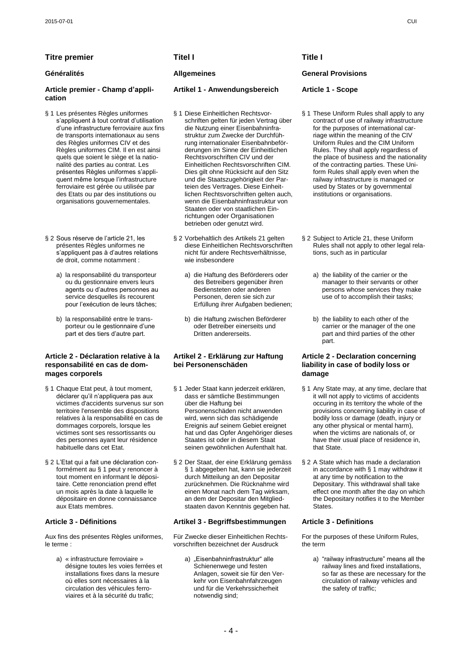# **Titre premier Titel I Title I**

### **Article premier - Champ d'application**

- § 1 Les présentes Règles uniformes s'appliquent à tout contrat d'utilisation d"une infrastructure ferroviaire aux fins de transports internationaux au sens des Règles uniformes CIV et des Règles uniformes CIM. Il en est ainsi quels que soient le siège et la nationalité des parties au contrat. Les présentes Règles uniformes s"appliquent même lorsque l'infrastructure ferroviaire est gérée ou utilisée par des Etats ou par des institutions ou organisations gouvernementales.
- § 2 Sous réserve de l'article 21, les présentes Règles uniformes ne s"appliquent pas à d"autres relations de droit, comme notamment :
	- a) la responsabilité du transporteur ou du gestionnaire envers leurs agents ou d"autres personnes au service desquelles ils recourent pour l"exécution de leurs tâches;
	- b) la responsabilité entre le transporteur ou le gestionnaire d"une part et des tiers d"autre part.

### **Article 2 - Déclaration relative à la responsabilité en cas de dommages corporels**

- § 1 Chaque Etat peut, à tout moment, déclarer qu"il n"appliquera pas aux victimes d'accidents survenus sur son territoire l'ensemble des dispositions relatives à la responsabilité en cas de dommages corporels, lorsque les victimes sont ses ressortissants ou des personnes ayant leur résidence habituelle dans cet Etat.
- § 2 L'Etat qui a fait une déclaration conformément au § 1 peut y renoncer à tout moment en informant le dépositaire. Cette renonciation prend effet un mois après la date à laquelle le dépositaire en donne connaissance aux Etats membres.

Aux fins des présentes Règles uniformes, le terme :

a) « infrastructure ferroviaire » désigne toutes les voies ferrées et installations fixes dans la mesure où elles sont nécessaires à la circulation des véhicules ferroviaires et à la sécurité du trafic;

### **Artikel 1 - Anwendungsbereich Article 1 - Scope**

- § 1 Diese Einheitlichen Rechtsvorschriften gelten für jeden Vertrag über die Nutzung einer Eisenbahninfrastruktur zum Zwecke der Durchführung internationaler Eisenbahnbeförderungen im Sinne der Einheitlichen Rechtsvorschriften CIV und der Einheitlichen Rechtsvorschriften CIM. Dies gilt ohne Rücksicht auf den Sitz und die Staatszugehörigkeit der Parteien des Vertrages. Diese Einheitlichen Rechtsvorschriften gelten auch, wenn die Eisenbahninfrastruktur von Staaten oder von staatlichen Einrichtungen oder Organisationen betrieben oder genutzt wird.
- § 2 Vorbehaltlich des Artikels 21 gelten diese Einheitlichen Rechtsvorschriften nicht für andere Rechtsverhältnisse, wie insbesondere
	- a) die Haftung des Beförderers oder des Betreibers gegenüber ihren Bediensteten oder anderen Personen, deren sie sich zur Erfüllung ihrer Aufgaben bedienen;
	- b) die Haftung zwischen Beförderer oder Betreiber einerseits und Dritten andererseits.

## **Artikel 2 - Erklärung zur Haftung bei Personenschäden**

- § 1 Jeder Staat kann jederzeit erklären, dass er sämtliche Bestimmungen über die Haftung bei Personenschäden nicht anwenden wird, wenn sich das schädigende Ereignis auf seinem Gebiet ereignet hat und das Opfer Angehöriger dieses Staates ist oder in diesem Staat seinen gewöhnlichen Aufenthalt hat.
- § 2 Der Staat, der eine Erklärung gemäss § 1 abgegeben hat, kann sie jederzeit durch Mitteilung an den Depositar zurücknehmen. Die Rücknahme wird einen Monat nach dem Tag wirksam, an dem der Depositar den Mitgliedstaaten davon Kenntnis gegeben hat.

### **Article 3 - Définitions Artikel 3 - Begriffsbestimmungen Article 3 - Definitions**

Für Zwecke dieser Einheitlichen Rechtsvorschriften bezeichnet der Ausdruck

a) "Eisenbahninfrastruktur" alle Schienenwege und festen Anlagen, soweit sie für den Verkehr von Eisenbahnfahrzeugen und für die Verkehrssicherheit notwendig sind;

# **Généralités Allgemeines General Provisions**

- § 1 These Uniform Rules shall apply to any contract of use of railway infrastructure for the purposes of international carriage within the meaning of the CIV Uniform Rules and the CIM Uniform Rules. They shall apply regardless of the place of business and the nationality of the contracting parties. These Uniform Rules shall apply even when the railway infrastructure is managed or used by States or by governmental institutions or organisations.
- § 2 Subject to Article 21, these Uniform Rules shall not apply to other legal relations, such as in particular
	- a) the liability of the carrier or the manager to their servants or other persons whose services they make use of to accomplish their tasks;
	- b) the liability to each other of the carrier or the manager of the one part and third parties of the other part.

### **Article 2 - Declaration concerning liability in case of bodily loss or damage**

- § 1 Any State may, at any time, declare that it will not apply to victims of accidents occuring in its territory the whole of the provisions concerning liability in case of bodily loss or damage (death, injury or any other physical or mental harm), when the victims are nationals of, or have their usual place of residence in, that State.
- § 2 A State which has made a declaration in accordance with § 1 may withdraw it at any time by notification to the Depositary. This withdrawal shall take effect one month after the day on which the Depositary notifies it to the Member States.

For the purposes of these Uniform Rules, the term

a) "railway infrastructure" means all the railway lines and fixed installations, so far as these are necessary for the circulation of railway vehicles and the safety of traffic;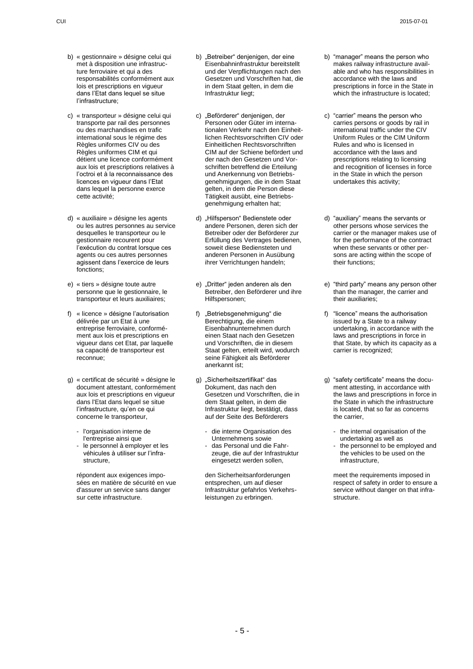- b) « gestionnaire » désigne celui qui met à disposition une infrastructure ferroviaire et qui a des responsabilités conformément aux lois et prescriptions en vigueur dans l"Etat dans lequel se situe l"infrastructure;
- c) « transporteur » désigne celui qui transporte par rail des personnes ou des marchandises en trafic international sous le régime des Règles uniformes CIV ou des Règles uniformes CIM et qui détient une licence conformément aux lois et prescriptions relatives à l"octroi et à la reconnaissance des licences en vigueur dans l"Etat dans lequel la personne exerce cette activité;
- d) « auxiliaire » désigne les agents ou les autres personnes au service desquelles le transporteur ou le gestionnaire recourent pour l"exécution du contrat lorsque ces agents ou ces autres personnes agissent dans l"exercice de leurs fonctions;
- e) « tiers » désigne toute autre personne que le gestionnaire, le .<br>transporteur et leurs auxiliaires;
- f) « licence » désigne l"autorisation délivrée par un Etat à une entreprise ferroviaire, conformément aux lois et prescriptions en vigueur dans cet Etat, par laquelle sa capacité de transporteur est reconnue;
- g) « certificat de sécurité » désigne le document attestant, conformément aux lois et prescriptions en vigueur dans l'Etat dans lequel se situe l'infrastructure, qu'en ce qui concerne le transporteur,
	- l'organisation interne de l'entreprise ainsi que
	- le personnel à employer et les véhicules à utiliser sur l"infrastructure,

répondent aux exigences imposées en matière de sécurité en vue d'assurer un service sans danger sur cette infrastructure.

- b) "Betreiber" denjenigen, der eine Eisenbahninfrastruktur bereitstellt und der Verpflichtungen nach den Gesetzen und Vorschriften hat, die in dem Staat gelten, in dem die Infrastruktur liegt;
- c) "Beförderer" denjenigen, der Personen oder Güter im internationalen Verkehr nach den Einheitlichen Rechtsvorschriften CIV oder Einheitlichen Rechtsvorschriften CIM auf der Schiene befördert und der nach den Gesetzen und Vorschriften betreffend die Erteilung und Anerkennung von Betriebsgenehmigungen, die in dem Staat gelten, in dem die Person diese Tätigkeit ausübt, eine Betriebsgenehmigung erhalten hat;
- d) "Hilfsperson" Bedienstete oder andere Personen, deren sich der Betreiber oder der Beförderer zur Erfüllung des Vertrages bedienen, soweit diese Bediensteten und anderen Personen in Ausübung ihrer Verrichtungen handeln;
- e) "Dritter" jeden anderen als den Betreiber, den Beförderer und ihre Hilfspersonen;
- f) "Betriebsgenehmigung" die Berechtigung, die einem Eisenbahnunternehmen durch einen Staat nach den Gesetzen und Vorschriften, die in diesem Staat gelten, erteilt wird, wodurch seine Fähigkeit als Beförderer anerkannt ist;
- g) "Sicherheitszertifikat" das Dokument, das nach den Gesetzen und Vorschriften, die in dem Staat gelten, in dem die Infrastruktur liegt, bestätigt, dass auf der Seite des Beförderers
	- die interne Organisation des Unternehmens sowie
	- das Personal und die Fahrzeuge, die auf der Infrastruktur eingesetzt werden sollen,

den Sicherheitsanforderungen entsprechen, um auf dieser Infrastruktur gefahrlos Verkehrsleistungen zu erbringen.

- b) "manager" means the person who makes railway infrastructure available and who has responsibilities in accordance with the laws and prescriptions in force in the State in which the infrastructure is located:
- c) "carrier" means the person who carries persons or goods by rail in international traffic under the CIV Uniform Rules or the CIM Uniform Rules and who is licensed in accordance with the laws and prescriptions relating to licensing and recognition of licenses in force in the State in which the person undertakes this activity;
- d) "auxiliary" means the servants or other persons whose services the carrier or the manager makes use of for the performance of the contract when these servants or other persons are acting within the scope of their functions;
- e) "third party" means any person other than the manager, the carrier and their auxiliaries;
- f) "licence" means the authorisation issued by a State to a railway undertaking, in accordance with the laws and prescriptions in force in that State, by which its capacity as a carrier is recognized;
- g) "safety certificate" means the document attesting, in accordance with the laws and prescriptions in force in the State in which the infrastructure is located, that so far as concerns the carrier,
	- the internal organisation of the undertaking as well as
	- the personnel to be employed and the vehicles to be used on the infrastructure,

meet the requirements imposed in respect of safety in order to ensure a service without danger on that infrastructure.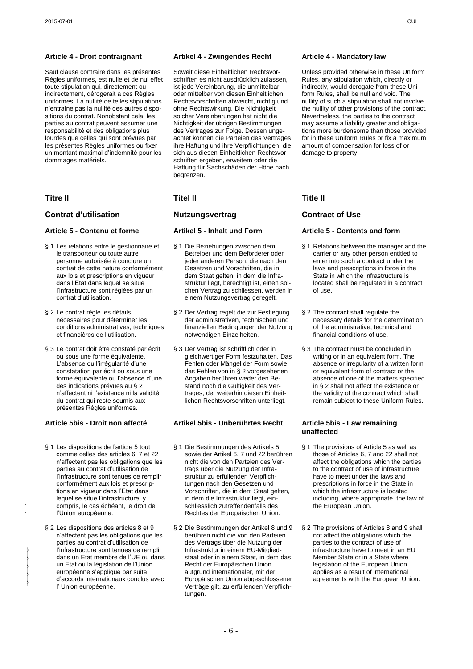### **Article 4 - Droit contraignant Artikel 4 - Zwingendes Recht Article 4 - Mandatory law**

Sauf clause contraire dans les présentes Règles uniformes, est nulle et de nul effet toute stipulation qui, directement ou indirectement, dérogerait à ces Règles uniformes. La nullité de telles stipulations n"entraîne pas la nullité des autres dispositions du contrat. Nonobstant cela, les parties au contrat peuvent assumer une responsabilité et des obligations plus lourdes que celles qui sont prévues par les présentes Règles uniformes ou fixer un montant maximal d"indemnité pour les dommages matériels.

# **Titre II Titel II Title II**

# **Contrat d'utilisation Nutzungsvertrag Contract of Use**

- § 1 Les relations entre le gestionnaire et le transporteur ou toute autre personne autorisée à conclure un contrat de cette nature conformément aux lois et prescriptions en vigueur dans l"Etat dans lequel se situe l"infrastructure sont réglées par un contrat d"utilisation.
- § 2 Le contrat règle les détails nécessaires pour déterminer les conditions administratives, techniques et financières de l"utilisation.
- § 3 Le contrat doit être constaté par écrit ou sous une forme équivalente. L"absence ou l"irrégularité d"une constatation par écrit ou sous une forme équivalente ou l'absence d'une des indications prévues au § 2 n"affectent ni l"existence ni la validité du contrat qui reste soumis aux présentes Règles uniformes.

§ 1 Les dispositions de l'article 5 tout comme celles des articles 6, 7 et 22 n"affectent pas les obligations que les parties au contrat d"utilisation de l"infrastructure sont tenues de remplir conformément aux lois et prescriptions en vigueur dans l"Etat dans lequel se situe l"infrastructure, y compris, le cas échéant, le droit de l"Union européenne.

 $\left\{ \right.$  $\left\{ \right.$ 

> $\left\{ \right.$  $\left\{ \right.$  $\left\{ \right.$  $\left\{ \right.$  $\{$

§ 2 Les dispositions des articles 8 et 9 n"affectent pas les obligations que les parties au contrat d"utilisation de l"infrastructure sont tenues de remplir dans un Etat membre de l"UE ou dans un Etat où la législation de l"Union européenne s"applique par suite d"accords internationaux conclus avec l" Union européenne.

Soweit diese Einheitlichen Rechtsvorschriften es nicht ausdrücklich zulassen, ist jede Vereinbarung, die unmittelbar oder mittelbar von diesen Einheitlichen Rechtsvorschriften abweicht, nichtig und ohne Rechtswirkung. Die Nichtigkeit solcher Vereinbarungen hat nicht die Nichtigkeit der übrigen Bestimmungen des Vertrages zur Folge. Dessen ungeachtet können die Parteien des Vertrages ihre Haftung und ihre Verpflichtungen, die sich aus diesen Einheitlichen Rechtsvorschriften ergeben, erweitern oder die Haftung für Sachschäden der Höhe nach begrenzen.

- § 1 Die Beziehungen zwischen dem Betreiber und dem Beförderer oder jeder anderen Person, die nach den Gesetzen und Vorschriften, die in dem Staat gelten, in dem die Infrastruktur liegt, berechtigt ist, einen solchen Vertrag zu schliessen, werden in einem Nutzungsvertrag geregelt.
- § 2 Der Vertrag regelt die zur Festlegung der administrativen, technischen und finanziellen Bedingungen der Nutzung notwendigen Einzelheiten.
- § 3 Der Vertrag ist schriftlich oder in gleichwertiger Form festzuhalten. Das Fehlen oder Mängel der Form sowie das Fehlen von in § 2 vorgesehenen Angaben berühren weder den Bestand noch die Gültigkeit des Vertrages, der weiterhin diesen Einheitlichen Rechtsvorschriften unterliegt.

### **Article 5bis - Droit non affecté Artikel 5bis - Unberührtes Recht Article 5bis - Law remaining**

- § 1 Die Bestimmungen des Artikels 5 sowie der Artikel 6, 7 und 22 berühren nicht die von den Parteien des Vertrags über die Nutzung der Infrastruktur zu erfüllenden Verpflichtungen nach den Gesetzen und Vorschriften, die in dem Staat gelten, in dem die Infrastruktur liegt, einschliesslich zutreffendenfalls des Rechtes der Europäischen Union.
- § 2 Die Bestimmungen der Artikel 8 und 9 berühren nicht die von den Parteien des Vertrags über die Nutzung der Infrastruktur in einem EU-Mitgliedstaat oder in einem Staat, in dem das Recht der Europäischen Union aufgrund internationaler, mit der Europäischen Union abgeschlossener Verträge gilt, zu erfüllenden Verpflichtungen.

Unless provided otherwise in these Uniform Rules, any stipulation which, directly or indirectly, would derogate from these Uniform Rules, shall be null and void. The nullity of such a stipulation shall not involve the nullity of other provisions of the contract. Nevertheless, the parties to the contract may assume a liability greater and obligations more burdensome than those provided for in these Uniform Rules or fix a maximum amount of compensation for loss of or damage to property.

### **Article 5 - Contenu et forme Artikel 5 - Inhalt und Form Article 5 - Contents and form**

- § 1 Relations between the manager and the carrier or any other person entitled to enter into such a contract under the laws and prescriptions in force in the State in which the infrastructure is located shall be regulated in a contract of use.
- § 2 The contract shall regulate the necessary details for the determination of the administrative, technical and financial conditions of use.
- § 3 The contract must be concluded in writing or in an equivalent form. The absence or irregularity of a written form or equivalent form of contract or the absence of one of the matters specified in § 2 shall not affect the existence or the validity of the contract which shall remain subject to these Uniform Rules.

# **unaffected**

- § 1 The provisions of Article 5 as well as those of Articles 6, 7 and 22 shall not affect the obligations which the parties to the contract of use of infrastructure have to meet under the laws and prescriptions in force in the State in .<br>which the infrastructure is located including, where appropriate, the law of the European Union.
- § 2 The provisions of Articles 8 and 9 shall not affect the obligations which the parties to the contract of use of infrastructure have to meet in an EU Member State or in a State where legislation of the European Union applies as a result of international agreements with the European Union.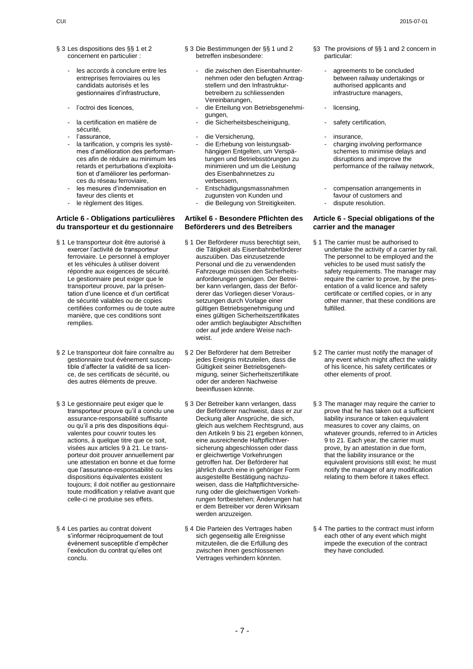- § 3 Les dispositions des §§ 1 et 2 concernent en particulier :
	- les accords à conclure entre les entreprises ferroviaires ou les candidats autorisés et les gestionnaires d"infrastructure,
	-
	- la certification en matière de sécurité,<br>l'assurance
	-
	- la tarification, y compris les systèmes d"amélioration des performances afin de réduire au minimum les retards et perturbations d"exploitation et d"améliorer les performances du réseau ferroviaire,
	- les mesures d'indemnisation en faveur des clients et<br>le règlement des litiges.
	-

## **Article 6 - Obligations particulières du transporteur et du gestionnaire**

- § 1 Le transporteur doit être autorisé à exercer l"activité de transporteur ferroviaire. Le personnel à employer et les véhicules à utiliser doivent répondre aux exigences de sécurité. Le gestionnaire peut exiger que le transporteur prouve, par la présentation d"une licence et d"un certificat de sécurité valables ou de copies certifiées conformes ou de toute autre manière, que ces conditions sont remplies.
- § 2 Le transporteur doit faire connaître au gestionnaire tout événement susceptible d"affecter la validité de sa licence, de ses certificats de sécurité, ou des autres éléments de preuve.
- § 3 Le gestionnaire peut exiger que le transporteur prouve qu"il a conclu une assurance-responsabilité suffisante ou qu"il a pris des dispositions équivalentes pour couvrir toutes les actions, à quelque titre que ce soit, visées aux articles 9 à 21. Le transporteur doit prouver annuellement par une attestation en bonne et due forme que l"assurance-responsabilité ou les dispositions équivalentes existent toujours; il doit notifier au gestionnaire toute modification y relative avant que celle-ci ne produise ses effets.
- § 4 Les parties au contrat doivent s"informer réciproquement de tout événement susceptible d"empêcher l'exécution du contrat qu'elles ont conclu.
- § 3 Die Bestimmungen der §§ 1 und 2 betreffen insbesondere:
	- die zwischen den Eisenbahnunternehmen oder den befugten Antragstellern und den Infrastrukturbetreibern zu schliessenden Vereinbarungen,
- l'octroi des licences.  $\overline{\phantom{a}}$  die Erteilung von Betriebsgenehmigungen,
	-
	- die Versicherung, et al. et al. et al. et al. et al. et al. et al. et al. et al. et al. et al. et al. et al. e
	- die Erhebung von leistungsabhängigen Entgelten, um Verspätungen und Betriebsstörungen zu minimieren und um die Leistung des Eisenbahnnetzes zu verbessern,
	- Entschädigungsmassnahmen zugunsten von Kunden und
	- die Beilegung von Streitigkeiten.

### **Artikel 6 - Besondere Pflichten des Beförderers und des Betreibers**

- § 1 Der Beförderer muss berechtigt sein, die Tätigkeit als Eisenbahnbeförderer auszuüben. Das einzusetzende Personal und die zu verwendenden Fahrzeuge müssen den Sicherheitsanforderungen genügen. Der Betreiber kann verlangen, dass der Beförderer das Vorliegen dieser Voraussetzungen durch Vorlage einer gültigen Betriebsgenehmigung und eines gültigen Sicherheitszertifikates oder amtlich beglaubigter Abschriften oder auf jede andere Weise nachweist.
- § 2 Der Beförderer hat dem Betreiber jedes Ereignis mitzuteilen, dass die Gültigkeit seiner Betriebsgenehmigung, seiner Sicherheitszertifikate oder der anderen Nachweise beeinflussen könnte.
- § 3 Der Betreiber kann verlangen, dass der Beförderer nachweist, dass er zur Deckung aller Ansprüche, die sich, gleich aus welchem Rechtsgrund, aus den Artikeln 9 bis 21 ergeben können, eine ausreichende Haftpflichtversicherung abgeschlossen oder dass er gleichwertige Vorkehrungen getroffen hat. Der Beförderer hat jährlich durch eine in gehöriger Form ausgestellte Bestätigung nachzuweisen, dass die Haftpflichtversicherung oder die gleichwertigen Vorkehrungen fortbestehen; Änderungen hat er dem Betreiber vor deren Wirksam werden anzuzeigen.
- § 4 Die Parteien des Vertrages haben sich gegenseitig alle Ereignisse mitzuteilen, die die Erfüllung des zwischen ihnen geschlossenen Vertrages verhindern könnten.
- §3 The provisions of §§ 1 and 2 concern in particular:
	- agreements to be concluded between railway undertakings or authorised applicants and infrastructure managers,
	- licensing.
- die Sicherheitsbescheinigung, etc. safety certification,
	-
	- charging involving performance schemes to minimise delays and disruptions and improve the performance of the railway network,
	- compensation arrangements in favour of customers and<br>dispute resolution.
	-

### **Article 6 - Special obligations of the carrier and the manager**

- § 1 The carrier must be authorised to undertake the activity of a carrier by rail. The personnel to be employed and the vehicles to be used must satisfy the safety requirements. The manager may require the carrier to prove, by the presentation of a valid licence and safety certificate or certified copies, or in any other manner, that these conditions are fulfilled.
- § 2 The carrier must notify the manager of any event which might affect the validity of his licence, his safety certificates or other elements of proof.
- § 3 The manager may require the carrier to prove that he has taken out a sufficient liability insurance or taken equivalent measures to cover any claims, on whatever grounds, referred to in Articles 9 to 21. Each year, the carrier must prove, by an attestation in due form, that the liability insurance or the equivalent provisions still exist; he must notify the manager of any modification relating to them before it takes effect.
- § 4 The parties to the contract must inform each other of any event which might impede the execution of the contract they have concluded.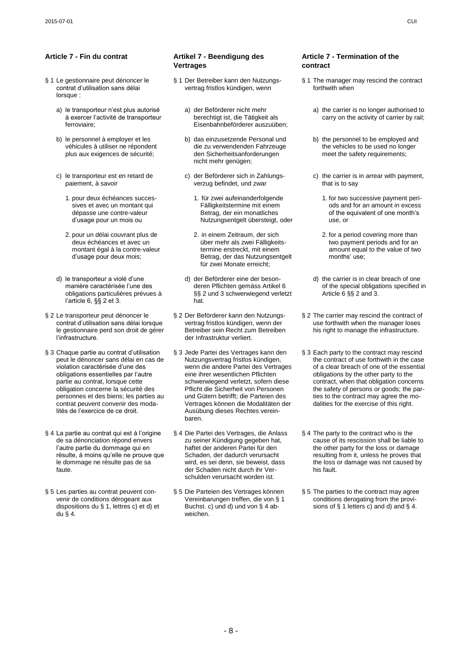- § 1 Le gestionnaire peut dénoncer le contrat d"utilisation sans délai lorsque :
	- a) le transporteur n"est plus autorisé à exercer l"activité de transporteur ferroviaire;
	- b) le personnel à employer et les véhicules à utiliser ne répondent plus aux exigences de sécurité;
	- c) le transporteur est en retard de paiement, à savoir
		- 1. pour deux échéances successives et avec un montant qui dépasse une contre-valeur d"usage pour un mois ou
		- 2. pour un délai couvrant plus de deux échéances et avec un montant égal à la contre-valeur d"usage pour deux mois;
	- d) le transporteur a violé d'une manière caractérisée l"une des obligations particulières prévues à l"article 6, §§ 2 et 3.
- § 2 Le transporteur peut dénoncer le contrat d"utilisation sans délai lorsque le gestionnaire perd son droit de gérer l"infrastructure.
- § 3 Chaque partie au contrat d'utilisation peut le dénoncer sans délai en cas de violation caractérisée d"une des obligations essentielles par l"autre partie au contrat, lorsque cette obligation concerne la sécurité des personnes et des biens; les parties au contrat peuvent convenir des modalités de l"exercice de ce droit.
- § 4 La partie au contrat qui est à l"origine de sa dénonciation répond envers l"autre partie du dommage qui en résulte, à moins qu"elle ne prouve que le dommage ne résulte pas de sa faute.
- § 5 Les parties au contrat peuvent convenir de conditions dérogeant aux dispositions du § 1, lettres c) et d) et du § 4.

### **Article 7 - Fin du contrat Artikel 7 - Beendigung des Vertrages**

- § 1 Der Betreiber kann den Nutzungsvertrag fristlos kündigen, wenn
	- a) der Beförderer nicht mehr berechtigt ist, die Tätigkeit als Eisenbahnbeförderer auszuüben;
	- b) das einzusetzende Personal und die zu verwendenden Fahrzeuge den Sicherheitsanforderungen nicht mehr genügen;
	- c) der Beförderer sich in Zahlungsverzug befindet, und zwar
		- 1. für zwei aufeinanderfolgende Fälligkeitstermine mit einem Betrag, der ein monatliches Nutzungsentgelt übersteigt, oder
		- 2. in einem Zeitraum, der sich über mehr als zwei Fälligkeitstermine erstreckt, mit einem Betrag, der das Nutzungsentgelt für zwei Monate erreicht;
	- d) der Beförderer eine der besonderen Pflichten gemäss Artikel 6 §§ 2 und 3 schwerwiegend verletzt hat.
- § 2 Der Beförderer kann den Nutzungsvertrag fristlos kündigen, wenn der Betreiber sein Recht zum Betreiben der Infrastruktur verliert.
- § 3 Jede Partei des Vertrages kann den Nutzungsvertrag fristlos kündigen, wenn die andere Partei des Vertrages eine ihrer wesentlichen Pflichten schwerwiegend verletzt, sofern diese Pflicht die Sicherheit von Personen und Gütern betrifft; die Parteien des Vertrages können die Modalitäten der Ausübung dieses Rechtes vereinbaren.
- § 4 Die Partei des Vertrages, die Anlass zu seiner Kündigung gegeben hat, haftet der anderen Partei für den Schaden, der dadurch verursacht wird, es sei denn, sie beweist, dass der Schaden nicht durch ihr Verschulden verursacht worden ist.
- § 5 Die Parteien des Vertrages können Vereinbarungen treffen, die von § 1 Buchst. c) und d) und von § 4 abweichen.

### **Article 7 - Termination of the contract**

- § 1 The manager may rescind the contract forthwith when
	- a) the carrier is no longer authorised to carry on the activity of carrier by rail;
	- b) the personnel to be employed and the vehicles to be used no longer meet the safety requirements;
	- c) the carrier is in arrear with payment, that is to say
		- 1. for two successive payment periods and for an amount in excess of the equivalent of one month"s use, or
		- 2. for a period covering more than two payment periods and for an amount equal to the value of two months' use;
	- d) the carrier is in clear breach of one of the special obligations specified in Article 6 §§ 2 and 3.
- § 2 The carrier may rescind the contract of use forthwith when the manager loses his right to manage the infrastructure.
- § 3 Each party to the contract may rescind the contract of use forthwith in the case of a clear breach of one of the essential obligations by the other party to the contract, when that obligation concerns the safety of persons or goods; the parties to the contract may agree the modalities for the exercise of this right.
- § 4 The party to the contract who is the cause of its rescission shall be liable to the other party for the loss or damage resulting from it, unless he proves that the loss or damage was not caused by his fault.
- § 5 The parties to the contract may agree conditions derogating from the provisions of  $\S$  1 letters c) and d) and  $\S$  4.

- 8 -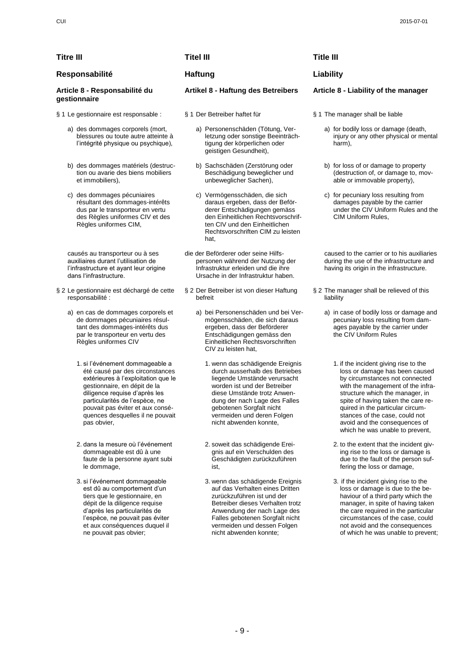# **Titre III Titel III Title III Responsabilité Haftung Liability**

- - a) Personenschäden (Tötung, Verletzung oder sonstige Beeinträchtigung der körperlichen oder geistigen Gesundheit),
	- b) Sachschäden (Zerstörung oder Beschädigung beweglicher und unbeweglicher Sachen),
	- c) Vermögensschäden, die sich daraus ergeben, dass der Beförderer Entschädigungen gemäss den Einheitlichen Rechtsvorschriften CIV und den Einheitlichen Rechtsvorschriften CIM zu leisten hat,
- die der Beförderer oder seine Hilfspersonen während der Nutzung der Infrastruktur erleiden und die ihre Ursache in der Infrastruktur haben.
- § 2 Der Betreiber ist von dieser Haftung befreit
	- a) bei Personenschäden und bei Vermögensschäden, die sich daraus ergeben, dass der Beförderer Entschädigungen gemäss den Einheitlichen Rechtsvorschriften CIV zu leisten hat,
		- 1. wenn das schädigende Ereignis durch ausserhalb des Betriebes liegende Umstände verursacht worden ist und der Betreiber diese Umstände trotz Anwendung der nach Lage des Falles gebotenen Sorgfalt nicht vermeiden und deren Folgen nicht abwenden konnte,
		- 2. soweit das schädigende Ereignis auf ein Verschulden des Geschädigten zurückzuführen ist,
		- 3. wenn das schädigende Ereignis auf das Verhalten eines Dritten zurückzuführen ist und der Betreiber dieses Verhalten trotz Anwendung der nach Lage des Falles gebotenen Sorgfalt nicht vermeiden und dessen Folgen nicht abwenden konnte;

### **Artikel 8 - Haftung des Betreibers Article 8 - Liability of the manager**

- - a) for bodily loss or damage (death, injury or any other physical or mental harm),
	- b) for loss of or damage to property (destruction of, or damage to, movable or immovable property),
	- c) for pecuniary loss resulting from damages payable by the carrier under the CIV Uniform Rules and the CIM Uniform Rules,

caused to the carrier or to his auxiliaries during the use of the infrastructure and having its origin in the infrastructure.

- § 2 The manager shall be relieved of this liability
	- a) in case of bodily loss or damage and pecuniary loss resulting from damages payable by the carrier under the CIV Uniform Rules
		- 1. if the incident giving rise to the loss or damage has been caused by circumstances not connected with the management of the infrastructure which the manager, in spite of having taken the care required in the particular circumstances of the case, could not avoid and the consequences of which he was unable to prevent,
		- 2. to the extent that the incident giving rise to the loss or damage is due to the fault of the person suffering the loss or damage,
		- 3. if the incident giving rise to the loss or damage is due to the behaviour of a third party which the manager, in spite of having taken the care required in the particular circumstances of the case, could not avoid and the consequences of which he was unable to prevent;

### **Article 8 - Responsabilité du gestionnaire**

- § 1 Le gestionnaire est responsable : § 1 Der Betreiber haftet für § 1 The manager shall be liable
	- a) des dommages corporels (mort, blessures ou toute autre atteinte à l"intégrité physique ou psychique),
	- b) des dommages matériels (destruction ou avarie des biens mobiliers et immobiliers),
	- c) des dommages pécuniaires résultant des dommages-intérêts dus par le transporteur en vertu des Règles uniformes CIV et des Règles uniformes CIM,

causés au transporteur ou à ses auxiliaires durant l"utilisation de l"infrastructure et ayant leur origine dans l"infrastructure.

- § 2 Le gestionnaire est déchargé de cette responsabilité :
	- a) en cas de dommages corporels et de dommages pécuniaires résultant des dommages-intérêts dus par le transporteur en vertu des Règles uniformes CIV
		- 1. si l"événement dommageable a été causé par des circonstances extérieures à l"exploitation que le gestionnaire, en dépit de la diligence requise d"après les particularités de l"espèce, ne pouvait pas éviter et aux conséquences desquelles il ne pouvait pas obvier,
		- 2. dans la mesure où l"événement dommageable est dû à une faute de la personne ayant subi le dommage,
		- 3. si l"événement dommageable est dû au comportement d"un tiers que le gestionnaire, en dépit de la diligence requise d"après les particularités de l"espèce, ne pouvait pas éviter et aux conséquences duquel il ne pouvait pas obvier;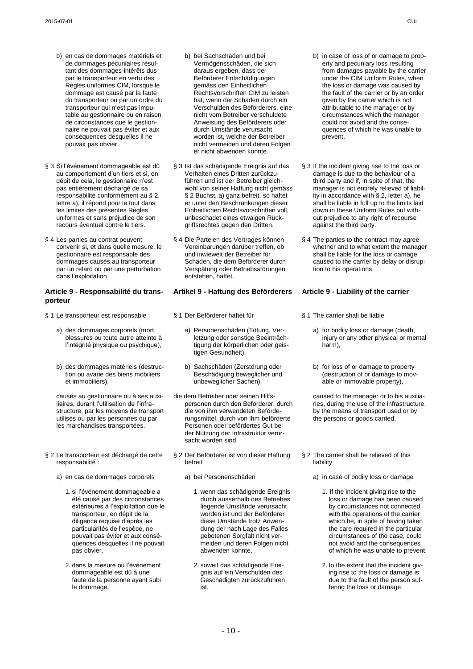- b) en cas de dommages matériels et de dommages pécuniaires résultant des dommages-intérêts dus par le transporteur en vertu des .<br>Règles uniformes CIM, lorsque le dommage est causé par la faute du transporteur ou par un ordre du transporteur qui n"est pas imputable au gestionnaire ou en raison de circonstances que le gestionnaire ne pouvait pas éviter et aux conséquences desquelles il ne pouvait pas obvier.
- § 3 Si l'événement dommageable est dû au comportement d"un tiers et si, en dépit de cela, le gestionnaire n'est pas entièrement déchargé de sa responsabilité conformément au § 2, lettre a), il répond pour le tout dans les limites des présentes Règles uniformes et sans préjudice de son recours éventuel contre le tiers.
- § 4 Les parties au contrat peuvent convenir si, et dans quelle mesure, le gestionnaire est responsable des dommages causés au transporteur par un retard ou par une perturbation dans l"exploitation.

### **Article 9 - Responsabilité du transporteur**

- § 1 Le transporteur est responsable : § 1 Der Beförderer haftet für \$ 1 The carrier shall be liable
	- a) des dommages corporels (mort, blessures ou toute autre atteinte à l"intégrité physique ou psychique),
	- b) des dommages matériels (destruction ou avarie des biens mobiliers et immobiliers),

causés au gestionnaire ou à ses auxiliaires, durant l'utilisation de l'infrastructure, par les moyens de transport utilisés ou par les personnes ou par les marchandises transportées.

- § 2 Le transporteur est déchargé de cette responsabilité :
	- a) en cas de dommages corporels a) bei Personenschäden alle alle a) in case of bodily loss or damage
		- 1. si l"événement dommageable a été causé par des circonstances extérieures à l"exploitation que le transporteur, en dépit de la diligence requise d"après les particularités de l"espèce, ne pouvait pas éviter et aux conséquences desquelles il ne pouvait pas obvier,
		- 2. dans la mesure où l"événement dommageable est dû à une faute de la personne ayant subi le dommage,
- b) bei Sachschäden und bei Vermögensschäden, die sich daraus ergeben, dass der Beförderer Entschädigungen gemäss den Einheitlichen Rechtsvorschriften CIM zu leisten hat, wenn der Schaden durch ein Verschulden des Beförderers, eine nicht vom Betreiber verschuldete Anweisung des Beförderers oder durch Umstände verursacht worden ist, welche der Betreiber nicht vermeiden und deren Folgen er nicht abwenden konnte.
- § 3 Ist das schädigende Ereignis auf das Verhalten eines Dritten zurückzuführen und ist der Betreiber gleichwohl von seiner Haftung nicht gemäss § 2 Buchst. a) ganz befreit, so haftet er unter den Beschränkungen dieser Einheitlichen Rechtsvorschriften voll, unbeschadet eines etwaigen Rückgriffsrechtes gegen den Dritten.
- § 4 Die Parteien des Vertrages können Vereinbarungen darüber treffen, ob und inwieweit der Betreiber für Schäden, die dem Beförderer durch Verspätung oder Betriebsstörungen entstehen, haftet.

### **Artikel 9 - Haftung des Beförderers Article 9 - Liability of the carrier**

- - a) Personenschäden (Tötung, Verletzung oder sonstige Beeinträchtigung der körperlichen oder geistigen Gesundheit),
	- b) Sachschäden (Zerstörung oder Beschädigung beweglicher und unbeweglicher Sachen),
- die dem Betreiber oder seinen Hilfspersonen durch den Beförderer, durch die von ihm verwendeten Beförderungsmittel, durch von ihm beförderte Personen oder befördertes Gut bei der Nutzung der Infrastruktur verursacht worden sind.
- § 2 Der Beförderer ist von dieser Haftung befreit
	- - 1. wenn das schädigende Ereignis durch ausserhalb des Betriebes liegende Umstände verursacht worden ist und der Beförderer diese Umstände trotz Anwendung der nach Lage des Falles gebotenen Sorgfalt nicht vermeiden und deren Folgen nicht abwenden konnte,
		- 2. soweit das schädigende Ereignis auf ein Verschulden des Geschädigten zurückzuführen ist,
- b) in case of loss of or damage to property and pecuniary loss resulting from damages payable by the carrier under the CIM Uniform Rules, when the loss or damage was caused by the fault of the carrier or by an order given by the carrier which is not attributable to the manager or by circumstances which the manager could not avoid and the consequences of which he was unable to prevent.
- § 3 If the incident giving rise to the loss or damage is due to the behaviour of a third party and if, in spite of that, the manager is not entirely relieved of liability in accordance with § 2, letter a), he shall be liable in full up to the limits laid down in these Uniform Rules but without prejudice to any right of recourse against the third party.
- § 4 The parties to the contract may agree whether and to what extent the manager shall be liable for the loss or damage caused to the carrier by delay or disruption to his operations.

- - a) for bodily loss or damage (death, injury or any other physical or mental harm),
	- b) for loss of or damage to property (destruction of or damage to movable or immovable property),

caused to the manager or to his auxiliaries, during the use of the infrastructure, by the means of transport used or by the persons or goods carried.

- § 2 The carrier shall be relieved of this liability
	- - 1. if the incident giving rise to the loss or damage has been caused by circumstances not connected with the operations of the carrier which he, in spite of having taken the care required in the particular circumstances of the case, could not avoid and the consequences of which he was unable to prevent,
		- 2. to the extent that the incident giving rise to the loss or damage is due to the fault of the person suffering the loss or damage,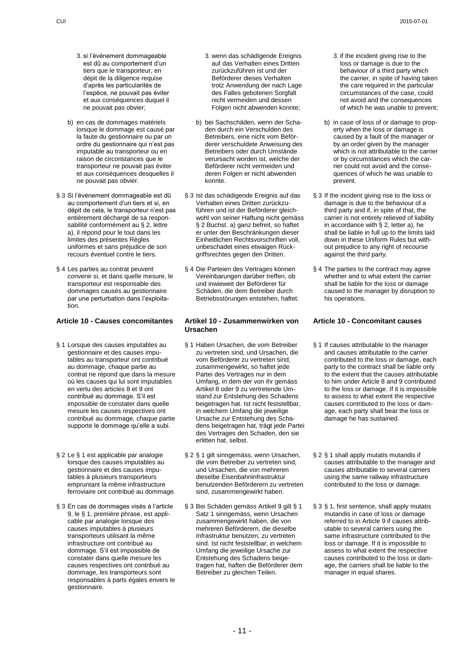- 3. si l"événement dommageable est dû au comportement d'un tiers que le transporteur, en dépit de la diligence requise d"après les particularités de l"espèce, ne pouvait pas éviter et aux conséquences duquel il ne pouvait pas obvier;
- b) en cas de dommages matériels lorsque le dommage est causé par la faute du gestionnaire ou par un ordre du gestionnaire qui n"est pas imputable au transporteur ou en raison de circonstances que le transporteur ne pouvait pas éviter et aux conséquences desquelles il ne pouvait pas obvier.
- § 3 Si l'événement dommageable est dû au comportement d"un tiers et si, en dépit de cela, le transporteur n"est pas entièrement déchargé de sa responsabilité conformément au § 2, lettre a), il répond pour le tout dans les limites des présentes Règles uniformes et sans préjudice de son recours éventuel contre le tiers.
- § 4 Les parties au contrat peuvent convenir si, et dans quelle mesure, le transporteur est responsable des dommages causés au gestionnaire par une perturbation dans l"exploitation.

## **Article 10 - Causes concomitantes Artikel 10 - Zusammenwirken von**

- § 1 Lorsque des causes imputables au gestionnaire et des causes imputables au transporteur ont contribué au dommage, chaque partie au contrat ne répond que dans la mesure où les causes qui lui sont imputables en vertu des articles 8 et 9 ont contribué au dommage. S'il est impossible de constater dans quelle mesure les causes respectives ont contribué au dommage, chaque partie supporte le dommage qu"elle a subi.
- § 2 Le § 1 est applicable par analogie lorsque des causes imputables au gestionnaire et des causes imputables à plusieurs transporteurs empruntant la même infrastructure ferroviaire ont contribué au dommage.
- § 3 En cas de dommages visés à l'article 9, le § 1, première phrase, est applicable par analogie lorsque des causes imputables à plusieurs transporteurs utilisant la même infrastructure ont contribué au dommage. S"il est impossible de constater dans quelle mesure les causes respectives ont contribué au dommage, les transporteurs sont responsables à parts égales envers le gestionnaire.
- 3. wenn das schädigende Ereignis auf das Verhalten eines Dritten zurückzuführen ist und der Beförderer dieses Verhalten trotz Anwendung der nach Lage des Falles gebotenen Sorgfalt nicht vermeiden und dessen Folgen nicht abwenden konnte;
- b) bei Sachschäden, wenn der Schaden durch ein Verschulden des Betreibers, eine nicht vom Beförderer verschuldete Anweisung des Betreibers oder durch Umstände verursacht worden ist, welche der Beförderer nicht vermeiden und deren Folgen er nicht abwenden konnte.
- § 3 Ist das schädigende Ereignis auf das Verhalten eines Dritten zurückzuführen und ist der Beförderer gleichwohl von seiner Haftung nicht gemäss § 2 Buchst. a) ganz befreit, so haftet er unter den Beschränkungen dieser Einheitlichen Rechtsvorschriften voll, unbeschadet eines etwaigen Rückgriffsrechtes gegen den Dritten.
- § 4 Die Parteien des Vertrages können Vereinbarungen darüber treffen, ob und inwieweit der Beförderer für Schäden, die dem Betreiber durch Betriebsstörungen entstehen, haftet.

# **Ursachen**

- § 1 Haben Ursachen, die vom Betreiber zu vertreten sind, und Ursachen, die vom Beförderer zu vertreten sind, zusammengewirkt, so haftet jede Partei des Vertrages nur in dem Umfang, in dem der von ihr gemäss Artikel 8 oder 9 zu vertretende Umstand zur Entstehung des Schadens beigetragen hat. Ist nicht feststellbar, in welchem Umfang die jeweilige Ursache zur Entstehung des Schadens beigetragen hat, trägt jede Partei des Vertrages den Schaden, den sie erlitten hat, selbst.
- § 2 § 1 gilt sinngemäss, wenn Ursachen, die vom Betreiber zu vertreten sind, und Ursachen, die von mehreren dieselbe Eisenbahninfrastruktur benutzenden Beförderern zu vertreten sind, zusammengewirkt haben.
- § 3 Bei Schäden gemäss Artikel 9 gilt § 1 Satz 1 sinngemäss, wenn Ursachen zusammengewirkt haben, die von mehreren Beförderern, die dieselbe Infrastruktur benutzen, zu vertreten sind. Ist nicht feststellbar, in welchem Umfang die jeweilige Ursache zur Entstehung des Schadens beigetragen hat, haften die Beförderer dem Betreiber zu gleichen Teilen.
- 3. if the incident giving rise to the loss or damage is due to the behaviour of a third party which the carrier, in spite of having taken the care required in the particular circumstances of the case, could not avoid and the consequences of which he was unable to prevent;
- b) in case of loss of or damage to property when the loss or damage is caused by a fault of the manager or by an order given by the manager which is not attributable to the carrier or by circumstances which the carrier could not avoid and the consequences of which he was unable to prevent.
- § 3 If the incident giving rise to the loss or damage is due to the behaviour of a third party and if, in spite of that, the carrier is not entirely relieved of liability in accordance with § 2, letter a), he shall be liable in full up to the limits laid down in these Uniform Rules but without prejudice to any right of recourse against the third party.
- § 4 The parties to the contract may agree whether and to what extent the carrier shall be liable for the loss or damage caused to the manager by disruption to his operations.

### **Article 10 - Concomitant causes**

- § 1 If causes attributable to the manager and causes attributable to the carrier contributed to the loss or damage, each party to the contract shall be liable only to the extent that the causes attributable to him under Article 8 and 9 contributed to the loss or damage. If it is impossible to assess to what extent the respective causes contributed to the loss or damage, each party shall bear the loss or damage he has sustained.
- § 2 § 1 shall apply mutatis mutandis if causes attributable to the manager and causes attributable to several carriers using the same railway infrastructure contributed to the loss or damage.
- § 3 § 1, first sentence, shall apply mutatis mutandis in case of loss or damage referred to in Article 9 if causes attributable to several carriers using the same infrastructure contributed to the loss or damage. If it is impossible to assess to what extent the respective causes contributed to the loss or damage, the carriers shall be liable to the manager in equal shares.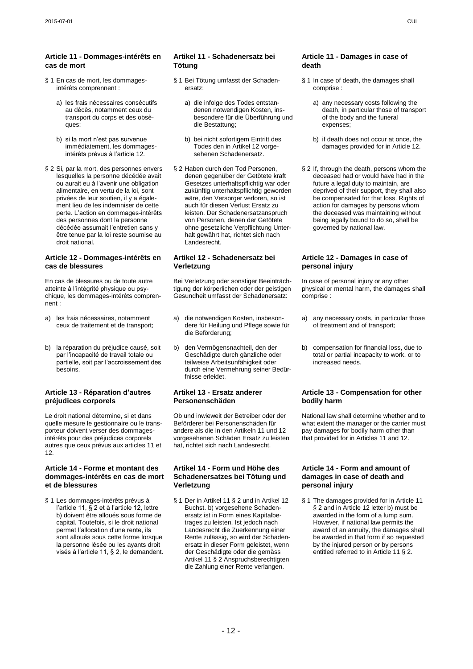### **Article 11 - Dommages-intérêts en cas de mort**

- § 1 En cas de mort, les dommagesintérêts comprennent :
	- a) les frais nécessaires consécutifs au décès, notamment ceux du transport du corps et des obsèques:
	- b) si la mort n"est pas survenue immédiatement, les dommagesintérêts prévus à l"article 12.
- § 2 Si, par la mort, des personnes envers lesquelles la personne décédée avait ou aurait eu à l"avenir une obligation alimentaire, en vertu de la loi, sont privées de leur soutien, il y a également lieu de les indemniser de cette perte. L"action en dommages-intérêts des personnes dont la personne décédée assumait l"entretien sans y être tenue par la loi reste soumise au droit national.

### **Article 12 - Dommages-intérêts en cas de blessures**

En cas de blessures ou de toute autre atteinte à l"intégrité physique ou psychique, les dommages-intérêts comprennent :

- a) les frais nécessaires, notamment ceux de traitement et de transport;
- b) la réparation du préjudice causé, soit par l"incapacité de travail totale ou partielle, soit par l"accroissement des **besoins**

### **Article 13 - Réparation d'autres préjudices corporels**

Le droit national détermine, si et dans quelle mesure le gestionnaire ou le transporteur doivent verser des dommagesintérêts pour des préjudices corporels autres que ceux prévus aux articles 11 et 12.

### **Article 14 - Forme et montant des dommages-intérêts en cas de mort et de blessures**

§ 1 Les dommages-intérêts prévus à l'article 11, § 2 et à l'article 12, lettre b) doivent être alloués sous forme de capital. Toutefois, si le droit national permet l"allocation d"une rente, ils sont alloués sous cette forme lorsque la personne lésée ou les ayants droit visés à l"article 11, § 2, le demandent.

## **Artikel 11 - Schadenersatz bei Tötung**

- § 1 Bei Tötung umfasst der Schadenersatz:
	- a) die infolge des Todes entstandenen notwendigen Kosten, insbesondere für die Überführung und die Bestattung;
	- b) bei nicht sofortigem Eintritt des Todes den in Artikel 12 vorgesehenen Schadenersatz.
- § 2 Haben durch den Tod Personen, denen gegenüber der Getötete kraft Gesetzes unterhaltspflichtig war oder zukünftig unterhaltspflichtig geworden wäre, den Versorger verloren, so ist auch für diesen Verlust Ersatz zu leisten. Der Schadenersatzanspruch von Personen, denen der Getötete ohne gesetzliche Verpflichtung Unterhalt gewährt hat, richtet sich nach Landesrecht.

### **Artikel 12 - Schadenersatz bei Verletzung**

Bei Verletzung oder sonstiger Beeinträchtigung der körperlichen oder der geistigen Gesundheit umfasst der Schadenersatz:

- a) die notwendigen Kosten, insbesondere für Heilung und Pflege sowie für die Beförderung;
- b) den Vermögensnachteil, den der Geschädigte durch gänzliche oder teilweise Arbeitsunfähigkeit oder durch eine Vermehrung seiner Bedürfnisse erleidet.

### **Artikel 13 - Ersatz anderer Personenschäden**

Ob und inwieweit der Betreiber oder der Beförderer bei Personenschäden für andere als die in den Artikeln 11 und 12 vorgesehenen Schäden Ersatz zu leisten hat, richtet sich nach Landesrecht.

### **Artikel 14 - Form und Höhe des Schadenersatzes bei Tötung und Verletzung**

§ 1 Der in Artikel 11 § 2 und in Artikel 12 Buchst. b) vorgesehene Schadenersatz ist in Form eines Kapitalbetrages zu leisten. Ist jedoch nach Landesrecht die Zuerkennung einer Rente zulässig, so wird der Schadenersatz in dieser Form geleistet, wenn der Geschädigte oder die gemäss Artikel 11 § 2 Anspruchsberechtigten die Zahlung einer Rente verlangen.

### **Article 11 - Damages in case of death**

- § 1 In case of death, the damages shall comprise :
	- a) any necessary costs following the death, in particular those of transport of the body and the funeral expenses;
	- b) if death does not occur at once, the damages provided for in Article 12.
- § 2 If, through the death, persons whom the deceased had or would have had in the future a legal duty to maintain, are deprived of their support, they shall also be compensated for that loss. Rights of action for damages by persons whom the deceased was maintaining without being legally bound to do so, shall be governed by national law.

### **Article 12 - Damages in case of personal injury**

In case of personal injury or any other physical or mental harm, the damages shall comprise :

- a) any necessary costs, in particular those of treatment and of transport;
- b) compensation for financial loss, due to total or partial incapacity to work, or to increased needs.

## **Article 13 - Compensation for other bodily harm**

National law shall determine whether and to what extent the manager or the carrier must pay damages for bodily harm other than that provided for in Articles 11 and 12.

### **Article 14 - Form and amount of damages in case of death and personal injury**

§ 1 The damages provided for in Article 11 § 2 and in Article 12 letter b) must be awarded in the form of a lump sum. However, if national law permits the award of an annuity, the damages shall be awarded in that form if so requested by the injured person or by persons entitled referred to in Article 11 § 2.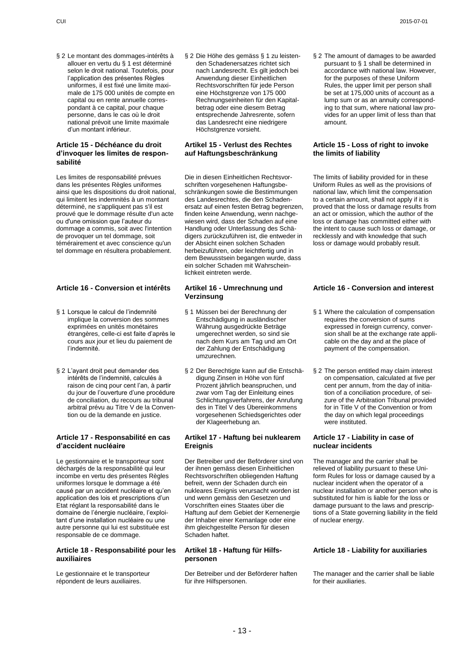§ 2 Le montant des dommages-intérêts à allouer en vertu du § 1 est déterminé selon le droit national. Toutefois, pour l"application des présentes Règles uniformes, il est fixé une limite maximale de 175 000 unités de compte en capital ou en rente annuelle correspondant à ce capital, pour chaque personne, dans le cas où le droit national prévoit une limite maximale d"un montant inférieur.

### **Article 15 - Déchéance du droit d'invoquer les limites de responsabilité**

Les limites de responsabilité prévues dans les présentes Règles uniformes ainsi que les dispositions du droit national, qui limitent les indemnités à un montant déterminé, ne s'appliquent pas s'il est prouvé que le dommage résulte d'un acte ou d'une omission que l"auteur du dommage a commis, soit avec l'intention de provoquer un tel dommage, soit témérairement et avec conscience qu'un tel dommage en résultera probablement.

# **Article 16 - Conversion et intérêts Artikel 16 - Umrechnung und**

- § 1 Lorsque le calcul de l'indemnité implique la conversion des sommes exprimées en unités monétaires étrangères, celle-ci est faite d"après le cours aux jour et lieu du paiement de l"indemnité.
- § 2 L"ayant droit peut demander des intérêts de l"indemnité, calculés à raison de cinq pour cent l"an, à partir du jour de l"ouverture d"une procédure de conciliation, du recours au tribunal arbitral prévu au Titre V de la Convention ou de la demande en justice.

### **Article 17 - Responsabilité en cas d'accident nucléaire**

Le gestionnaire et le transporteur sont déchargés de la responsabilité qui leur incombe en vertu des présentes Règles uniformes lorsque le dommage a été causé par un accident nucléaire et qu"en application des lois et prescriptions d"un Etat réglant la responsabilité dans le domaine de l"énergie nucléaire, l"exploitant d"une installation nucléaire ou une autre personne qui lui est substituée est responsable de ce dommage.

### **Article 18 - Responsabilité pour les auxiliaires**

Le gestionnaire et le transporteur répondent de leurs auxiliaires.

§ 2 Die Höhe des gemäss § 1 zu leistenden Schadenersatzes richtet sich nach Landesrecht. Es gilt jedoch bei Anwendung dieser Einheitlichen Rechtsvorschriften für jede Person eine Höchstgrenze von 175 000 Rechnungseinheiten für den Kapitalbetrag oder eine diesem Betrag entsprechende Jahresrente, sofern das Landesrecht eine niedrigere Höchstgrenze vorsieht.

### **Artikel 15 - Verlust des Rechtes auf Haftungsbeschränkung**

Die in diesen Einheitlichen Rechtsvorschriften vorgesehenen Haftungsbeschränkungen sowie die Bestimmungen des Landesrechtes, die den Schadenersatz auf einen festen Betrag begrenzen, finden keine Anwendung, wenn nachgewiesen wird, dass der Schaden auf eine Handlung oder Unterlassung des Schädigers zurückzuführen ist, die entweder in der Absicht einen solchen Schaden herbeizuführen, oder leichtfertig und in dem Bewusstsein begangen wurde, dass ein solcher Schaden mit Wahrscheinlichkeit eintreten werde.

# **Verzinsung**

- § 1 Müssen bei der Berechnung der Entschädigung in ausländischer Währung ausgedrückte Beträge umgerechnet werden, so sind sie nach dem Kurs am Tag und am Ort der Zahlung der Entschädigung umzurechnen.
- § 2 Der Berechtigte kann auf die Entschädigung Zinsen in Höhe von fünf Prozent jährlich beanspruchen, und zwar vom Tag der Einleitung eines Schlichtungsverfahrens, der Anrufung des in Titel V des Übereinkommens vorgesehenen Schiedsgerichtes oder der Klageerhebung an.

### **Artikel 17 - Haftung bei nuklearem Ereignis**

Der Betreiber und der Beförderer sind von der ihnen gemäss diesen Einheitlichen Rechtsvorschriften obliegenden Haftung befreit, wenn der Schaden durch ein nukleares Ereignis verursacht worden ist und wenn gemäss den Gesetzen und Vorschriften eines Staates über die Haftung auf dem Gebiet der Kernenergie der Inhaber einer Kernanlage oder eine ihm gleichgestellte Person für diesen Schaden haftet.

### **Artikel 18 - Haftung für Hilfspersonen**

Der Betreiber und der Beförderer haften für ihre Hilfspersonen.

§ 2 The amount of damages to be awarded pursuant to § 1 shall be determined in accordance with national law. However, for the purposes of these Uniform Rules, the upper limit per person shall be set at 175,000 units of account as a lump sum or as an annuity corresponding to that sum, where national law provides for an upper limit of less than that amount.

### **Article 15 - Loss of right to invoke the limits of liability**

The limits of liability provided for in these Uniform Rules as well as the provisions of national law, which limit the compensation to a certain amount, shall not apply if it is proved that the loss or damage results from an act or omission, which the author of the loss or damage has committed either with the intent to cause such loss or damage, or recklessly and with knowledge that such loss or damage would probably result.

# **Article 16 - Conversion and interest**

- § 1 Where the calculation of compensation requires the conversion of sums expressed in foreign currency, conversion shall be at the exchange rate applicable on the day and at the place of payment of the compensation.
- § 2 The person entitled may claim interest on compensation, calculated at five per cent per annum, from the day of initiation of a conciliation procedure, of seizure of the Arbitration Tribunal provided for in Title V of the Convention or from the day on which legal proceedings were instituted.

## **Article 17 - Liability in case of nuclear incidents**

The manager and the carrier shall be relieved of liability pursuant to these Uniform Rules for loss or damage caused by a nuclear incident when the operator of a nuclear installation or another person who is substituted for him is liable for the loss or damage pursuant to the laws and prescriptions of a State governing liability in the field of nuclear energy.

### **Article 18 - Liability for auxiliaries**

The manager and the carrier shall be liable for their auxiliaries.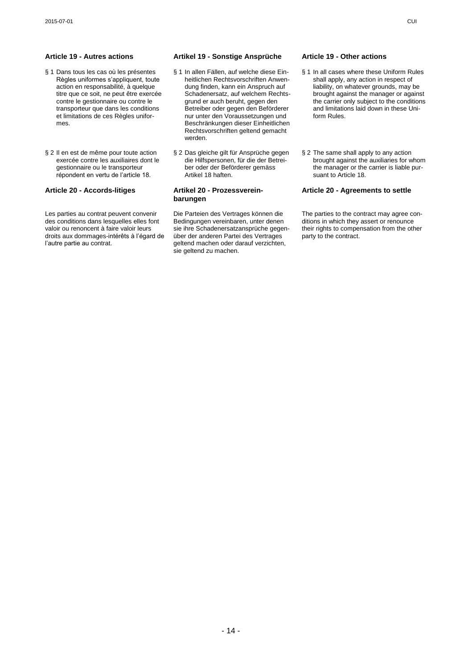- § 1 Dans tous les cas où les présentes Règles uniformes s"appliquent, toute action en responsabilité, à quelque titre que ce soit, ne peut être exercée contre le gestionnaire ou contre le transporteur que dans les conditions et limitations de ces Règles uniformes.
- § 2 Il en est de même pour toute action exercée contre les auxiliaires dont le gestionnaire ou le transporteur répondent en vertu de l"article 18.

Les parties au contrat peuvent convenir des conditions dans lesquelles elles font valoir ou renoncent à faire valoir leurs droits aux dommages-intérêts à l"égard de l"autre partie au contrat.

# **Article 19 - Autres actions Artikel 19 - Sonstige Ansprüche Article 19 - Other actions**

- § 1 In allen Fällen, auf welche diese Einheitlichen Rechtsvorschriften Anwendung finden, kann ein Anspruch auf Schadenersatz, auf welchem Rechtsgrund er auch beruht, gegen den Betreiber oder gegen den Beförderer nur unter den Voraussetzungen und Beschränkungen dieser Einheitlichen Rechtsvorschriften geltend gemacht werden.
- § 2 Das gleiche gilt für Ansprüche gegen die Hilfspersonen, für die der Betreiber oder der Beförderer gemäss Artikel 18 haften.

### **Article 20 - Accords-litiges Artikel 20 - Prozessvereinbarungen**

Die Parteien des Vertrages können die Bedingungen vereinbaren, unter denen sie ihre Schadenersatzansprüche gegenüber der anderen Partei des Vertrages geltend machen oder darauf verzichten, sie geltend zu machen.

- § 1 In all cases where these Uniform Rules shall apply, any action in respect of liability, on whatever grounds, may be brought against the manager or against the carrier only subject to the conditions and limitations laid down in these Uniform Rules.
- § 2 The same shall apply to any action brought against the auxiliaries for whom the manager or the carrier is liable pursuant to Article 18.

### **Article 20 - Agreements to settle**

The parties to the contract may agree conditions in which they assert or renounce their rights to compensation from the other party to the contract.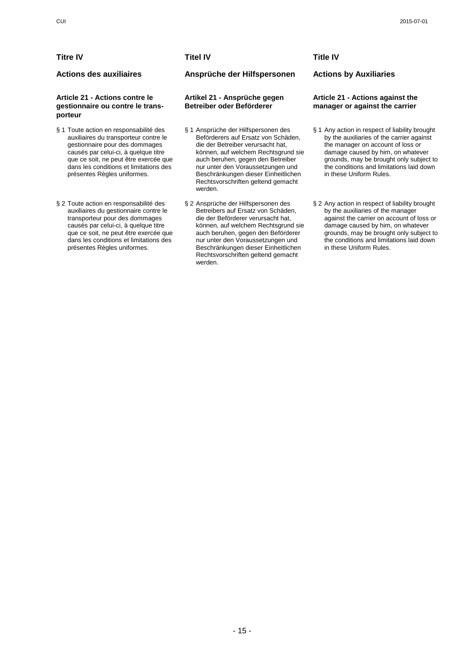# **Titre IV Titel IV Title IV**

### **Article 21 - Actions contre le gestionnaire ou contre le transporteur**

- § 1 Toute action en responsabilité des auxiliaires du transporteur contre le gestionnaire pour des dommages causés par celui-ci, à quelque titre que ce soit, ne peut être exercée que dans les conditions et limitations des présentes Règles uniformes.
- § 2 Toute action en responsabilité des auxiliaires du gestionnaire contre le transporteur pour des dommages causés par celui-ci, à quelque titre que ce soit, ne peut être exercée que dans les conditions et limitations des présentes Règles uniformes.

**Actions des auxiliaires Ansprüche der Hilfspersonen Actions by Auxiliaries**

# **Artikel 21 - Ansprüche gegen Betreiber oder Beförderer**

- § 1 Ansprüche der Hilfspersonen des Beförderers auf Ersatz von Schäden, die der Betreiber verursacht hat, können, auf welchem Rechtsgrund sie auch beruhen, gegen den Betreiber nur unter den Voraussetzungen und Beschränkungen dieser Einheitlichen Rechtsvorschriften geltend gemacht werden.
- § 2 Ansprüche der Hilfspersonen des Betreibers auf Ersatz von Schäden, die der Beförderer verursacht hat, können, auf welchem Rechtsgrund sie auch beruhen, gegen den Beförderer nur unter den Voraussetzungen und Beschränkungen dieser Einheitlichen Rechtsvorschriften geltend gemacht werden.

### **Article 21 - Actions against the manager or against the carrier**

- § 1 Any action in respect of liability brought by the auxiliaries of the carrier against the manager on account of loss or damage caused by him, on whatever grounds, may be brought only subject to the conditions and limitations laid down in these Uniform Rules.
- § 2 Any action in respect of liability brought by the auxiliaries of the manager against the carrier on account of loss or damage caused by him, on whatever grounds, may be brought only subject to the conditions and limitations laid down in these Uniform Rules.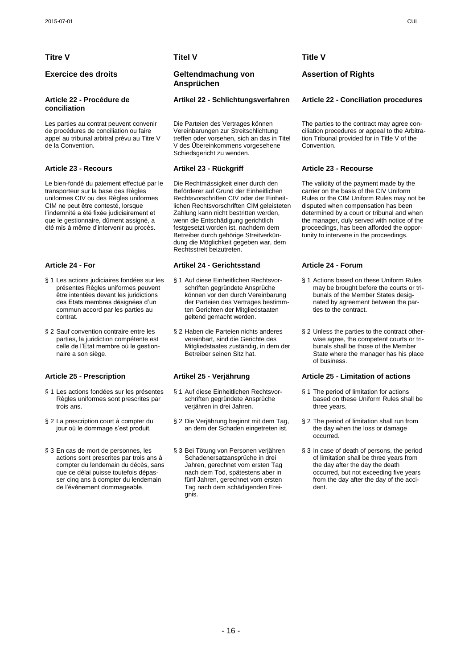# **Titre V Titel V Title V**

### **Article 22 - Procédure de conciliation**

Les parties au contrat peuvent convenir de procédures de conciliation ou faire appel au tribunal arbitral prévu au Titre V de la Convention.

Le bien-fondé du paiement effectué par le transporteur sur la base des Règles uniformes CIV ou des Règles uniformes CIM ne peut être contesté, lorsque l"indemnité a été fixée judiciairement et que le gestionnaire, dûment assigné, a été mis à même d"intervenir au procès.

- § 1 Les actions judiciaires fondées sur les présentes Règles uniformes peuvent être intentées devant les juridictions des Etats membres désignées d"un commun accord par les parties au contrat.
- § 2 Sauf convention contraire entre les parties, la juridiction compétente est celle de l"Etat membre où le gestionnaire a son siège.

- § 1 Les actions fondées sur les présentes Règles uniformes sont prescrites par trois ans.
- § 2 La prescription court à compter du jour où le dommage s"est produit.
- § 3 En cas de mort de personnes, les actions sont prescrites par trois ans à compter du lendemain du décès, sans que ce délai puisse toutefois dépasser cinq ans à compter du lendemain de l"événement dommageable.

# **Exercice des droits Geltendmachung von Ansprüchen**

Die Parteien des Vertrages können Vereinbarungen zur Streitschlichtung treffen oder vorsehen, sich an das in Titel V des Übereinkommens vorgesehene Schiedsgericht zu wenden.

Die Rechtmässigkeit einer durch den Beförderer auf Grund der Einheitlichen Rechtsvorschriften CIV oder der Einheitlichen Rechtsvorschriften CIM geleisteten Zahlung kann nicht bestritten werden, wenn die Entschädigung gerichtlich festgesetzt worden ist, nachdem dem Betreiber durch gehörige Streitverkündung die Möglichkeit gegeben war, dem Rechtsstreit beizutreten.

# **Article 24 - For Artikel 24 - Gerichtsstand Article 24 - Forum**

- § 1 Auf diese Einheitlichen Rechtsvorschriften gegründete Ansprüche können vor den durch Vereinbarung der Parteien des Vertrages bestimmten Gerichten der Mitgliedstaaten geltend gemacht werden.
- § 2 Haben die Parteien nichts anderes vereinbart, sind die Gerichte des Mitgliedstaates zuständig, in dem der Betreiber seinen Sitz hat.

- § 1 Auf diese Einheitlichen Rechtsvorschriften gegründete Ansprüche verjähren in drei Jahren.
- § 2 Die Verjährung beginnt mit dem Tag, an dem der Schaden eingetreten ist.
- § 3 Bei Tötung von Personen verjähren Schadenersatzansprüche in drei Jahren, gerechnet vom ersten Tag nach dem Tod, spätestens aber in fünf Jahren, gerechnet vom ersten Tag nach dem schädigenden Ereignis.

# **Assertion of Rights**

### **Artikel 22 - Schlichtungsverfahren Article 22 - Conciliation procedures**

The parties to the contract may agree conciliation procedures or appeal to the Arbitration Tribunal provided for in Title V of the Convention.

# **Article 23 - Recours Artikel 23 - Rückgriff Article 23 - Recourse**

The validity of the payment made by the carrier on the basis of the CIV Uniform Rules or the CIM Uniform Rules may not be disputed when compensation has been determined by a court or tribunal and when the manager, duly served with notice of the proceedings, has been afforded the opportunity to intervene in the proceedings.

- § 1 Actions based on these Uniform Rules may be brought before the courts or tribunals of the Member States designated by agreement between the parties to the contract.
- § 2 Unless the parties to the contract otherwise agree, the competent courts or tribunals shall be those of the Member State where the manager has his place of business.

### **Article 25 - Prescription Artikel 25 - Verjährung Article 25 - Limitation of actions**

- § 1 The period of limitation for actions based on these Uniform Rules shall be three years.
- § 2 The period of limitation shall run from the day when the loss or damage occurred.
- § 3 In case of death of persons, the period of limitation shall be three years from the day after the day the death occurred, but not exceeding five years from the day after the day of the accident.